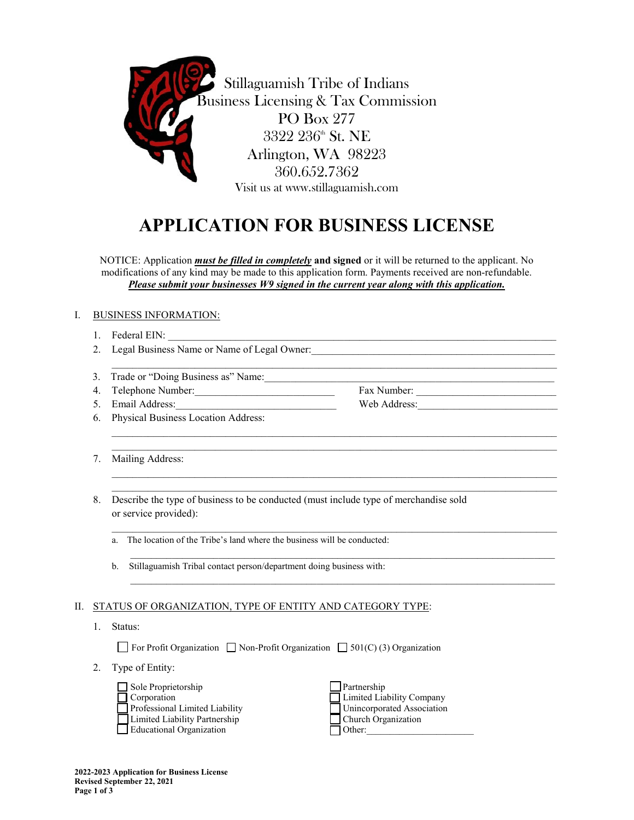

Stillaguamish Tribe of Indians Business Licensing & Tax Commission PO Box 277 3322 236th St. NE Arlington, WA 98223 360.652.7362 Visit us at www.stillaguamish.com

# **APPLICATION FOR BUSINESS LICENSE**

NOTICE: Application *must be filled in completely* **and signed** or it will be returned to the applicant. No modifications of any kind may be made to this application form. Payments received are non-refundable. *Please submit your businesses W9 signed in the current year along with this application.* 

 $\mathcal{L}_\mathcal{L} = \{ \mathcal{L}_\mathcal{L} = \{ \mathcal{L}_\mathcal{L} = \{ \mathcal{L}_\mathcal{L} = \{ \mathcal{L}_\mathcal{L} = \{ \mathcal{L}_\mathcal{L} = \{ \mathcal{L}_\mathcal{L} = \{ \mathcal{L}_\mathcal{L} = \{ \mathcal{L}_\mathcal{L} = \{ \mathcal{L}_\mathcal{L} = \{ \mathcal{L}_\mathcal{L} = \{ \mathcal{L}_\mathcal{L} = \{ \mathcal{L}_\mathcal{L} = \{ \mathcal{L}_\mathcal{L} = \{ \mathcal{L}_\mathcal{$ 

 $\mathcal{L}_\mathcal{L} = \{ \mathcal{L}_\mathcal{L} = \{ \mathcal{L}_\mathcal{L} = \{ \mathcal{L}_\mathcal{L} = \{ \mathcal{L}_\mathcal{L} = \{ \mathcal{L}_\mathcal{L} = \{ \mathcal{L}_\mathcal{L} = \{ \mathcal{L}_\mathcal{L} = \{ \mathcal{L}_\mathcal{L} = \{ \mathcal{L}_\mathcal{L} = \{ \mathcal{L}_\mathcal{L} = \{ \mathcal{L}_\mathcal{L} = \{ \mathcal{L}_\mathcal{L} = \{ \mathcal{L}_\mathcal{L} = \{ \mathcal{L}_\mathcal{$ \_\_\_\_\_\_\_\_\_\_\_\_\_\_\_\_\_\_\_\_\_\_\_\_\_\_\_\_\_\_\_\_\_\_\_\_\_\_\_\_\_\_\_\_\_\_\_\_\_\_\_\_\_\_\_\_\_\_\_\_\_\_\_\_\_\_\_\_\_\_\_\_\_\_\_\_\_\_\_\_\_\_\_\_\_\_

 $\mathcal{L}_\mathcal{L} = \{ \mathcal{L}_\mathcal{L} = \{ \mathcal{L}_\mathcal{L} = \{ \mathcal{L}_\mathcal{L} = \{ \mathcal{L}_\mathcal{L} = \{ \mathcal{L}_\mathcal{L} = \{ \mathcal{L}_\mathcal{L} = \{ \mathcal{L}_\mathcal{L} = \{ \mathcal{L}_\mathcal{L} = \{ \mathcal{L}_\mathcal{L} = \{ \mathcal{L}_\mathcal{L} = \{ \mathcal{L}_\mathcal{L} = \{ \mathcal{L}_\mathcal{L} = \{ \mathcal{L}_\mathcal{L} = \{ \mathcal{L}_\mathcal{$ \_\_\_\_\_\_\_\_\_\_\_\_\_\_\_\_\_\_\_\_\_\_\_\_\_\_\_\_\_\_\_\_\_\_\_\_\_\_\_\_\_\_\_\_\_\_\_\_\_\_\_\_\_\_\_\_\_\_\_\_\_\_\_\_\_\_\_\_\_\_\_\_\_\_\_\_\_\_\_\_\_\_\_\_\_\_

 $\mathcal{L}_\mathcal{L} = \{ \mathcal{L}_\mathcal{L} = \{ \mathcal{L}_\mathcal{L} = \{ \mathcal{L}_\mathcal{L} = \{ \mathcal{L}_\mathcal{L} = \{ \mathcal{L}_\mathcal{L} = \{ \mathcal{L}_\mathcal{L} = \{ \mathcal{L}_\mathcal{L} = \{ \mathcal{L}_\mathcal{L} = \{ \mathcal{L}_\mathcal{L} = \{ \mathcal{L}_\mathcal{L} = \{ \mathcal{L}_\mathcal{L} = \{ \mathcal{L}_\mathcal{L} = \{ \mathcal{L}_\mathcal{L} = \{ \mathcal{L}_\mathcal{$ 

 $\mathcal{L}_\mathcal{L} = \{ \mathcal{L}_\mathcal{L} = \{ \mathcal{L}_\mathcal{L} = \{ \mathcal{L}_\mathcal{L} = \{ \mathcal{L}_\mathcal{L} = \{ \mathcal{L}_\mathcal{L} = \{ \mathcal{L}_\mathcal{L} = \{ \mathcal{L}_\mathcal{L} = \{ \mathcal{L}_\mathcal{L} = \{ \mathcal{L}_\mathcal{L} = \{ \mathcal{L}_\mathcal{L} = \{ \mathcal{L}_\mathcal{L} = \{ \mathcal{L}_\mathcal{L} = \{ \mathcal{L}_\mathcal{L} = \{ \mathcal{L}_\mathcal{$ 

 $\mathcal{L}_\mathcal{L} = \{ \mathcal{L}_\mathcal{L} = \{ \mathcal{L}_\mathcal{L} = \{ \mathcal{L}_\mathcal{L} = \{ \mathcal{L}_\mathcal{L} = \{ \mathcal{L}_\mathcal{L} = \{ \mathcal{L}_\mathcal{L} = \{ \mathcal{L}_\mathcal{L} = \{ \mathcal{L}_\mathcal{L} = \{ \mathcal{L}_\mathcal{L} = \{ \mathcal{L}_\mathcal{L} = \{ \mathcal{L}_\mathcal{L} = \{ \mathcal{L}_\mathcal{L} = \{ \mathcal{L}_\mathcal{L} = \{ \mathcal{L}_\mathcal{$ 

## I. BUSINESS INFORMATION:

- 1. Federal EIN:
- 2. Legal Business Name or Name of Legal Owner:
- 3. Trade or "Doing Business as" Name:
- 4. Telephone Number: Sample Communication of the Second State Communication of the Second State Communication of the Second State Communication of the Second State Communication of the Second State Communication of the Sec
- 5. Email Address: Web Address:
- 6. Physical Business Location Address:
- 7. Mailing Address:
- 8. Describe the type of business to be conducted (must include type of merchandise sold or service provided):
	- a. The location of the Tribe's land where the business will be conducted:
	- b. Stillaguamish Tribal contact person/department doing business with:

#### II. STATUS OF ORGANIZATION, TYPE OF ENTITY AND CATEGORY TYPE:

1. Status:

For Profit Organization  $\Box$  Non-Profit Organization  $\Box$  501(C) (3) Organization

2. Type of Entity:

| $\Box$ Sole Proprietorship     |
|--------------------------------|
| $\Box$ Corporation             |
| Professional Limited Liability |
| Limited Liability Partnership  |
| Educational Organization       |

 $\Box$  Partnership  $\Box$  Limited Liability Company  $\Box$  Unincorporated Association  $\Box$  Church Organization  $\Box$  Other: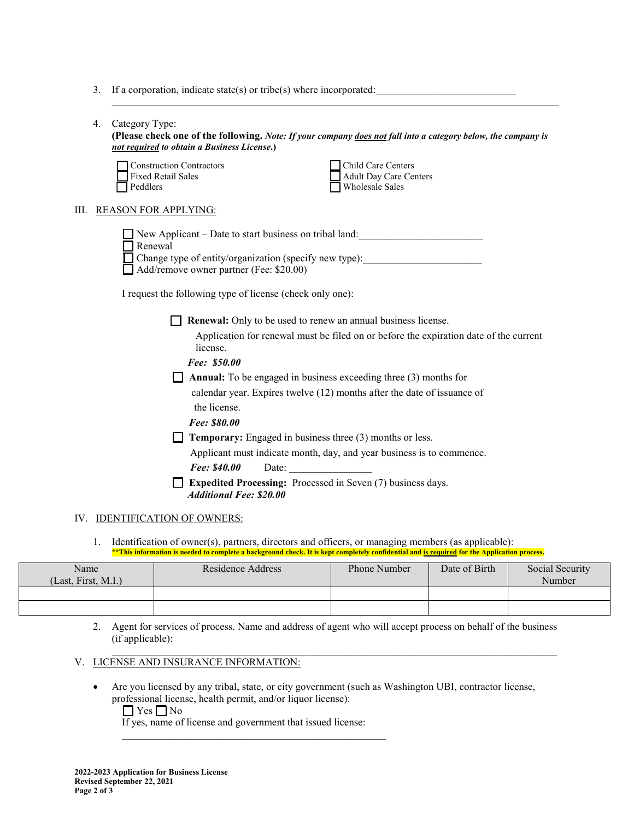3. If a corporation, indicate state(s) or tribe(s) where incorporated:

| 4.                                                                                                                                                                        | Category Type:<br>(Please check one of the following. Note: If your company does not fall into a category below, the company is<br>not required to obtain a Business License.)<br><b>Construction Contractors</b><br><b>Child Care Centers</b><br><b>Fixed Retail Sales</b><br><b>Adult Day Care Centers</b><br><b>Wholesale Sales</b><br>Peddlers |  |  |  |  |  |
|---------------------------------------------------------------------------------------------------------------------------------------------------------------------------|----------------------------------------------------------------------------------------------------------------------------------------------------------------------------------------------------------------------------------------------------------------------------------------------------------------------------------------------------|--|--|--|--|--|
|                                                                                                                                                                           | <b>REASON FOR APPLYING:</b>                                                                                                                                                                                                                                                                                                                        |  |  |  |  |  |
|                                                                                                                                                                           | New Applicant – Date to start business on tribal land:<br>Renewal<br>Change type of entity/organization (specify new type): _________________________<br>Add/remove owner partner (Fee: \$20.00)                                                                                                                                                   |  |  |  |  |  |
|                                                                                                                                                                           | I request the following type of license (check only one):                                                                                                                                                                                                                                                                                          |  |  |  |  |  |
| <b>Renewal:</b> Only to be used to renew an annual business license.<br>Application for renewal must be filed on or before the expiration date of the current<br>license. |                                                                                                                                                                                                                                                                                                                                                    |  |  |  |  |  |
|                                                                                                                                                                           | Fee: \$50.00<br><b>Annual:</b> To be engaged in business exceeding three $(3)$ months for                                                                                                                                                                                                                                                          |  |  |  |  |  |
|                                                                                                                                                                           | calendar year. Expires twelve (12) months after the date of issuance of<br>the license.<br>Fee: \$80.00                                                                                                                                                                                                                                            |  |  |  |  |  |
|                                                                                                                                                                           | Temporary: Engaged in business three (3) months or less.<br>Applicant must indicate month, day, and year business is to commence.<br>Date: $\qquad \qquad$<br>Fee: \$40.00                                                                                                                                                                         |  |  |  |  |  |
|                                                                                                                                                                           | <b>Expedited Processing:</b> Processed in Seven (7) business days.<br><b>Additional Fee: \$20.00</b>                                                                                                                                                                                                                                               |  |  |  |  |  |
|                                                                                                                                                                           |                                                                                                                                                                                                                                                                                                                                                    |  |  |  |  |  |

 $\mathcal{L}_\mathcal{L} = \{ \mathcal{L}_\mathcal{L} = \{ \mathcal{L}_\mathcal{L} = \{ \mathcal{L}_\mathcal{L} = \{ \mathcal{L}_\mathcal{L} = \{ \mathcal{L}_\mathcal{L} = \{ \mathcal{L}_\mathcal{L} = \{ \mathcal{L}_\mathcal{L} = \{ \mathcal{L}_\mathcal{L} = \{ \mathcal{L}_\mathcal{L} = \{ \mathcal{L}_\mathcal{L} = \{ \mathcal{L}_\mathcal{L} = \{ \mathcal{L}_\mathcal{L} = \{ \mathcal{L}_\mathcal{L} = \{ \mathcal{L}_\mathcal{$ 

#### IV. IDENTIFICATION OF OWNERS:

1. Identification of owner(s), partners, directors and officers, or managing members (as applicable): **\*\*This information is needed to complete a background check. It is kept completely confidential and is required for the Application process.**

| Name<br>(Last, First, M.I.) | Residence Address | <b>Phone Number</b> | Date of Birth | Social Security<br>Number |
|-----------------------------|-------------------|---------------------|---------------|---------------------------|
|                             |                   |                     |               |                           |
|                             |                   |                     |               |                           |

2. Agent for services of process. Name and address of agent who will accept process on behalf of the business (if applicable):

 $\mathcal{L}_\mathcal{L} = \{ \mathcal{L}_\mathcal{L} = \{ \mathcal{L}_\mathcal{L} = \{ \mathcal{L}_\mathcal{L} = \{ \mathcal{L}_\mathcal{L} = \{ \mathcal{L}_\mathcal{L} = \{ \mathcal{L}_\mathcal{L} = \{ \mathcal{L}_\mathcal{L} = \{ \mathcal{L}_\mathcal{L} = \{ \mathcal{L}_\mathcal{L} = \{ \mathcal{L}_\mathcal{L} = \{ \mathcal{L}_\mathcal{L} = \{ \mathcal{L}_\mathcal{L} = \{ \mathcal{L}_\mathcal{L} = \{ \mathcal{L}_\mathcal{$ 

## V. LICENSE AND INSURANCE INFORMATION:

• Are you licensed by any tribal, state, or city government (such as Washington UBI, contractor license, professional license, health permit, and/or liquor license):

 $\Box$  Yes  $\Box$  No If yes, name of license and government that issued license: \_\_\_\_\_\_\_\_\_\_\_\_\_\_\_\_\_\_\_\_\_\_\_\_\_\_\_\_\_\_\_\_\_\_\_\_\_\_\_\_\_\_\_\_\_\_\_\_\_\_\_